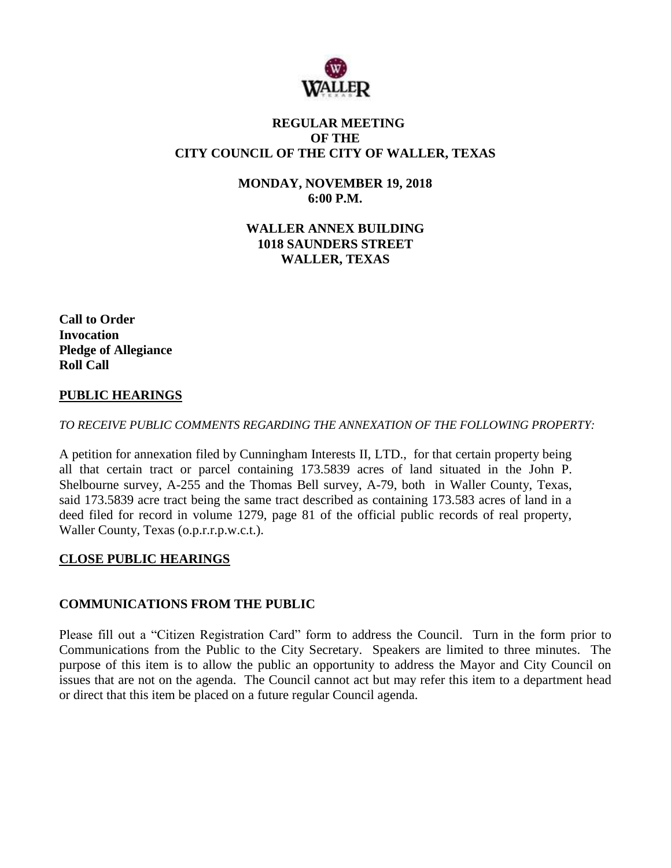

## **REGULAR MEETING OF THE CITY COUNCIL OF THE CITY OF WALLER, TEXAS**

**MONDAY, NOVEMBER 19, 2018 6:00 P.M.**

**WALLER ANNEX BUILDING 1018 SAUNDERS STREET WALLER, TEXAS**

**Call to Order Invocation Pledge of Allegiance Roll Call**

# **PUBLIC HEARINGS**

*TO RECEIVE PUBLIC COMMENTS REGARDING THE ANNEXATION OF THE FOLLOWING PROPERTY:*

A petition for annexation filed by Cunningham Interests II, LTD., for that certain property being all that certain tract or parcel containing 173.5839 acres of land situated in the John P. Shelbourne survey, A-255 and the Thomas Bell survey, A-79, both in Waller County, Texas, said 173.5839 acre tract being the same tract described as containing 173.583 acres of land in a deed filed for record in volume 1279, page 81 of the official public records of real property, Waller County, Texas (o.p.r.r.p.w.c.t.).

## **CLOSE PUBLIC HEARINGS**

## **COMMUNICATIONS FROM THE PUBLIC**

Please fill out a "Citizen Registration Card" form to address the Council. Turn in the form prior to Communications from the Public to the City Secretary. Speakers are limited to three minutes. The purpose of this item is to allow the public an opportunity to address the Mayor and City Council on issues that are not on the agenda. The Council cannot act but may refer this item to a department head or direct that this item be placed on a future regular Council agenda.